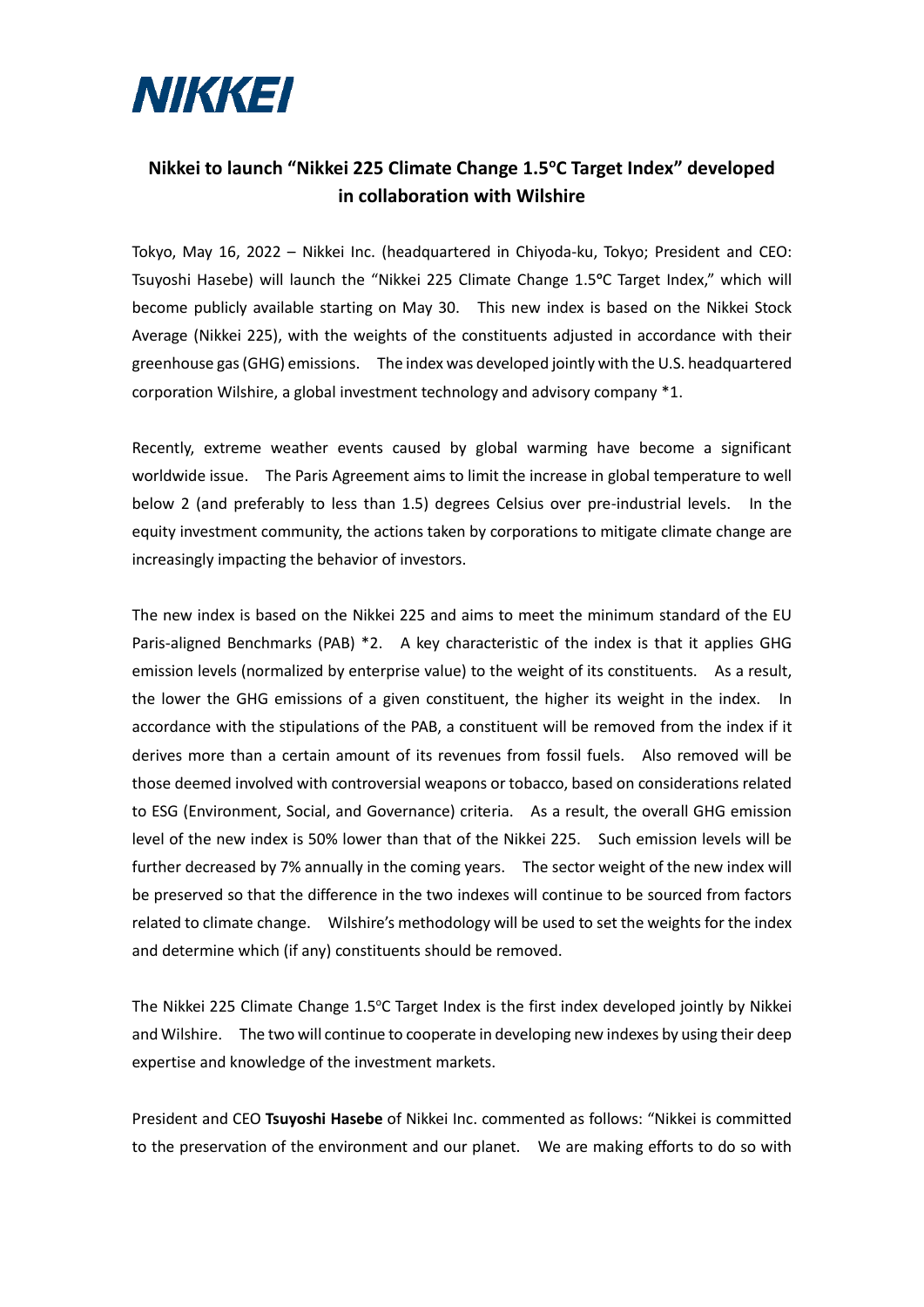

## **Nikkei to launch "Nikkei 225 Climate Change 1.5<sup>o</sup>C Target Index" developed in collaboration with Wilshire**

Tokyo, May 16, 2022 – Nikkei Inc. (headquartered in Chiyoda-ku, Tokyo; President and CEO: Tsuyoshi Hasebe) will launch the "Nikkei 225 Climate Change 1.5<sup>o</sup>C Target Index," which will become publicly available starting on May 30. This new index is based on the Nikkei Stock Average (Nikkei 225), with the weights of the constituents adjusted in accordance with their greenhouse gas (GHG) emissions. The index was developed jointly with the U.S. headquartered corporation Wilshire, a global investment technology and advisory company \*1.

Recently, extreme weather events caused by global warming have become a significant worldwide issue. The Paris Agreement aims to limit the increase in global temperature to well below 2 (and preferably to less than 1.5) degrees Celsius over pre-industrial levels. In the equity investment community, the actions taken by corporations to mitigate climate change are increasingly impacting the behavior of investors.

The new index is based on the Nikkei 225 and aims to meet the minimum standard of the EU Paris-aligned Benchmarks (PAB) \*2. A key characteristic of the index is that it applies GHG emission levels (normalized by enterprise value) to the weight of its constituents. As a result, the lower the GHG emissions of a given constituent, the higher its weight in the index. In accordance with the stipulations of the PAB, a constituent will be removed from the index if it derives more than a certain amount of its revenues from fossil fuels. Also removed will be those deemed involved with controversial weapons or tobacco, based on considerations related to ESG (Environment, Social, and Governance) criteria. As a result, the overall GHG emission level of the new index is 50% lower than that of the Nikkei 225. Such emission levels will be further decreased by 7% annually in the coming years. The sector weight of the new index will be preserved so that the difference in the two indexes will continue to be sourced from factors related to climate change. Wilshire's methodology will be used to set the weights for the index and determine which (if any) constituents should be removed.

The Nikkei 225 Climate Change 1.5°C Target Index is the first index developed jointly by Nikkei and Wilshire. The two will continue to cooperate in developing new indexes by using their deep expertise and knowledge of the investment markets.

President and CEO **Tsuyoshi Hasebe** of Nikkei Inc. commented as follows: "Nikkei is committed to the preservation of the environment and our planet. We are making efforts to do so with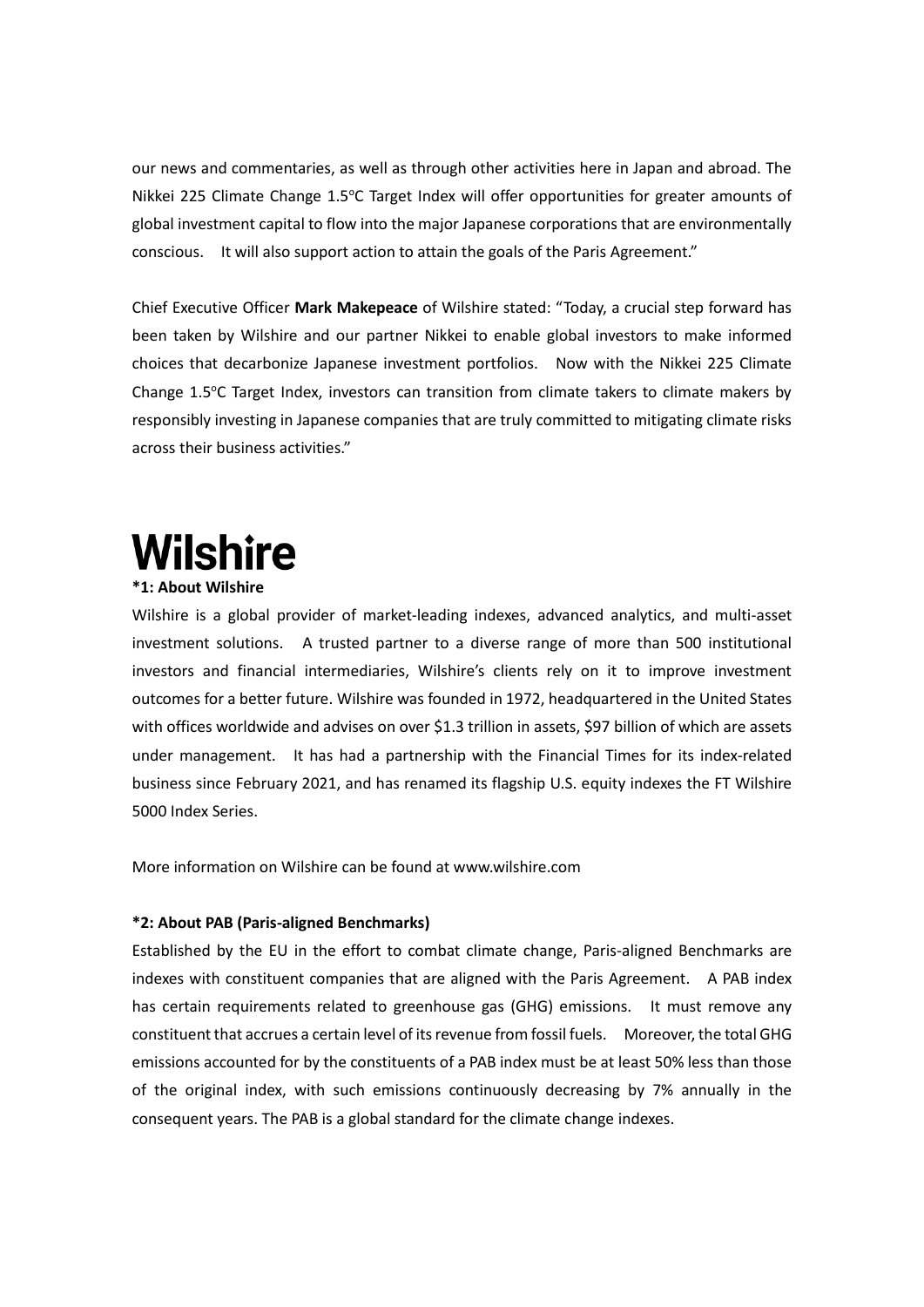our news and commentaries, as well as through other activities here in Japan and abroad. The Nikkei 225 Climate Change 1.5°C Target Index will offer opportunities for greater amounts of global investment capital to flow into the major Japanese corporations that are environmentally conscious. It will also support action to attain the goals of the Paris Agreement."

Chief Executive Officer **Mark Makepeace** of Wilshire stated: "Today, a crucial step forward has been taken by Wilshire and our partner Nikkei to enable global investors to make informed choices that decarbonize Japanese investment portfolios. Now with the Nikkei 225 Climate Change  $1.5^{\circ}$ C Target Index, investors can transition from climate takers to climate makers by responsibly investing in Japanese companies that are truly committed to mitigating climate risks across their business activities."

## **Wilshire**

## **\*1: About Wilshire**

Wilshire is a global provider of market-leading indexes, advanced analytics, and multi-asset investment solutions. A trusted partner to a diverse range of more than 500 institutional investors and financial intermediaries, Wilshire's clients rely on it to improve investment outcomes for a better future. Wilshire was founded in 1972, headquartered in the United States with offices worldwide and advises on over \$1.3 trillion in assets, \$97 billion of which are assets under management. It has had a partnership with the Financial Times for its index-related business since February 2021, and has renamed its flagship U.S. equity indexes the FT Wilshire 5000 Index Series.

More information on Wilshire can be found at www.wilshire.com

## **\*2: About PAB (Paris-aligned Benchmarks)**

Established by the EU in the effort to combat climate change, Paris-aligned Benchmarks are indexes with constituent companies that are aligned with the Paris Agreement. A PAB index has certain requirements related to greenhouse gas (GHG) emissions. It must remove any constituent that accrues a certain level of its revenue from fossil fuels. Moreover, the total GHG emissions accounted for by the constituents of a PAB index must be at least 50% less than those of the original index, with such emissions continuously decreasing by 7% annually in the consequent years. The PAB is a global standard for the climate change indexes.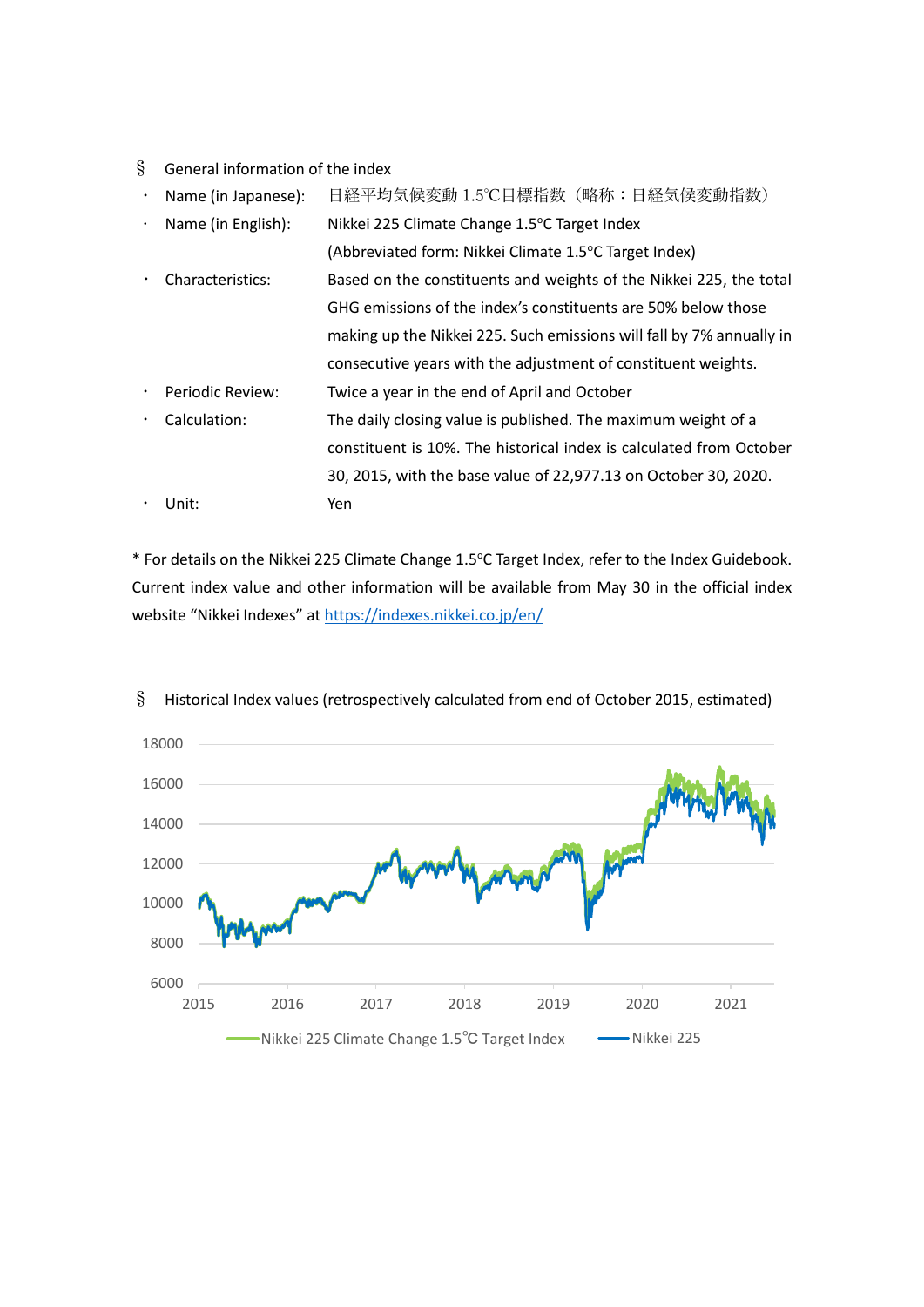- § General information of the index
- Name (in Japanese): 日経平均気候変動 1.5℃目標指数(略称:日経気候変動指数)
- Name (in English): Nikkei 225 Climate Change 1.5°C Target Index (Abbreviated form: Nikkei Climate 1.5°C Target Index)
- Characteristics: Based on the constituents and weights of the Nikkei 225, the total GHG emissions of the index's constituents are 50% below those making up the Nikkei 225. Such emissions will fall by 7% annually in consecutive years with the adjustment of constituent weights.
- Periodic Review: Twice a year in the end of April and October
- Calculation: The daily closing value is published. The maximum weight of a constituent is 10%. The historical index is calculated from October 30, 2015, with the base value of 22,977.13 on October 30, 2020. Unit: Yen

\* For details on the Nikkei 225 Climate Change 1.5°C Target Index, refer to the Index Guidebook. Current index value and other information will be available from May 30 in the official index website "Nikkei Indexes" at [https://indexes.nikkei.co.jp/en/](https://indexes.nikkei.co.jp/en/nkave)



§ Historical Index values (retrospectively calculated from end of October 2015, estimated)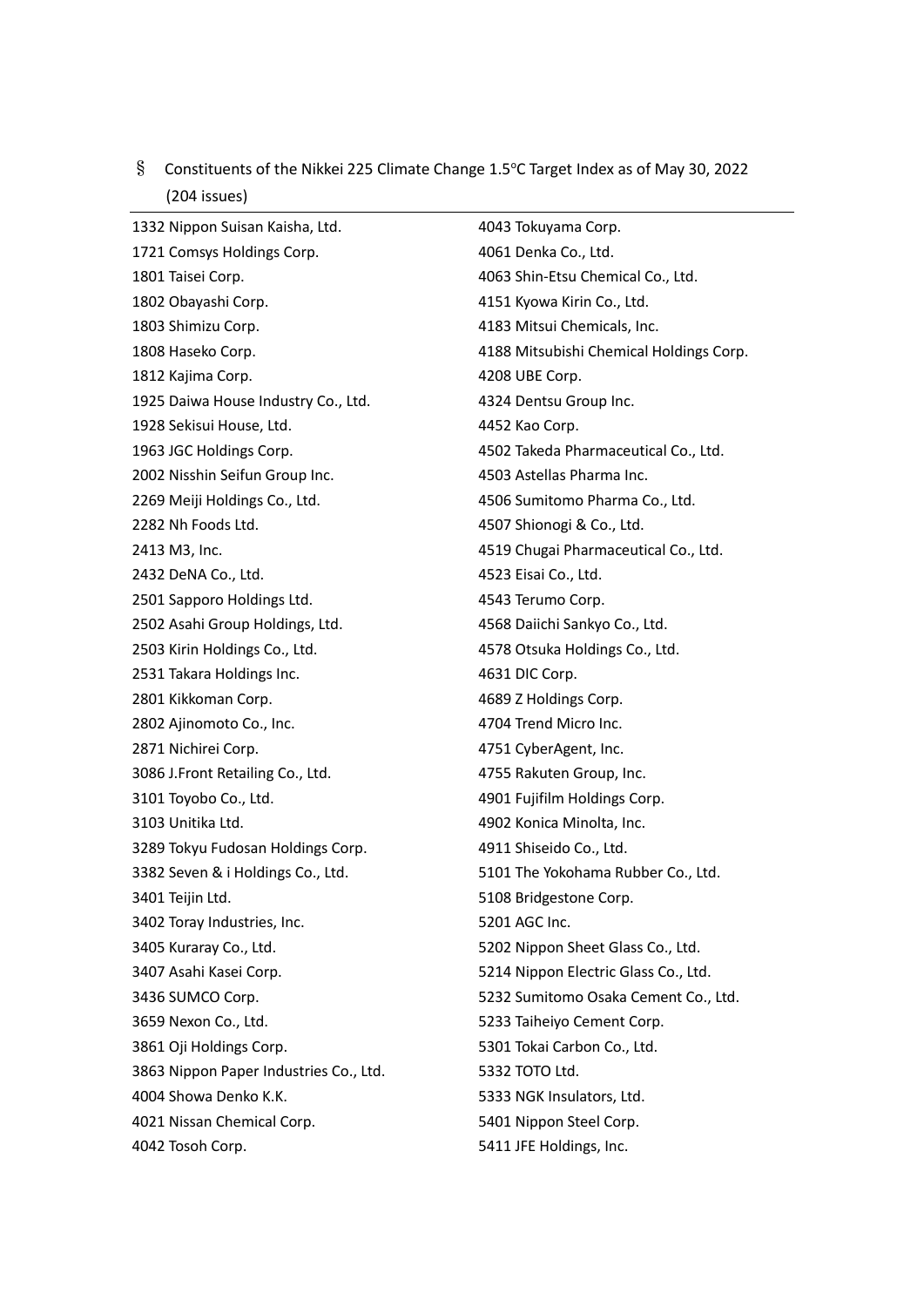| (204 issues)                           |                                         |
|----------------------------------------|-----------------------------------------|
| 1332 Nippon Suisan Kaisha, Ltd.        | 4043 Tokuyama Corp.                     |
| 1721 Comsys Holdings Corp.             | 4061 Denka Co., Ltd.                    |
| 1801 Taisei Corp.                      | 4063 Shin-Etsu Chemical Co., Ltd.       |
| 1802 Obayashi Corp.                    | 4151 Kyowa Kirin Co., Ltd.              |
| 1803 Shimizu Corp.                     | 4183 Mitsui Chemicals, Inc.             |
| 1808 Haseko Corp.                      | 4188 Mitsubishi Chemical Holdings Corp. |
| 1812 Kajima Corp.                      | 4208 UBE Corp.                          |
| 1925 Daiwa House Industry Co., Ltd.    | 4324 Dentsu Group Inc.                  |
| 1928 Sekisui House, Ltd.               | 4452 Kao Corp.                          |
| 1963 JGC Holdings Corp.                | 4502 Takeda Pharmaceutical Co., Ltd.    |
| 2002 Nisshin Seifun Group Inc.         | 4503 Astellas Pharma Inc.               |
| 2269 Meiji Holdings Co., Ltd.          | 4506 Sumitomo Pharma Co., Ltd.          |
| 2282 Nh Foods Ltd.                     | 4507 Shionogi & Co., Ltd.               |
| 2413 M3, Inc.                          | 4519 Chugai Pharmaceutical Co., Ltd.    |
| 2432 DeNA Co., Ltd.                    | 4523 Eisai Co., Ltd.                    |
| 2501 Sapporo Holdings Ltd.             | 4543 Terumo Corp.                       |
| 2502 Asahi Group Holdings, Ltd.        | 4568 Daiichi Sankyo Co., Ltd.           |
| 2503 Kirin Holdings Co., Ltd.          | 4578 Otsuka Holdings Co., Ltd.          |
| 2531 Takara Holdings Inc.              | 4631 DIC Corp.                          |
| 2801 Kikkoman Corp.                    | 4689 Z Holdings Corp.                   |
| 2802 Ajinomoto Co., Inc.               | 4704 Trend Micro Inc.                   |
| 2871 Nichirei Corp.                    | 4751 CyberAgent, Inc.                   |
| 3086 J.Front Retailing Co., Ltd.       | 4755 Rakuten Group, Inc.                |
| 3101 Toyobo Co., Ltd.                  | 4901 Fujifilm Holdings Corp.            |
| 3103 Unitika Ltd.                      | 4902 Konica Minolta, Inc.               |
| 3289 Tokyu Fudosan Holdings Corp.      | 4911 Shiseido Co., Ltd.                 |
| 3382 Seven & i Holdings Co., Ltd.      | 5101 The Yokohama Rubber Co., Ltd.      |
| 3401 Teijin Ltd.                       | 5108 Bridgestone Corp.                  |
| 3402 Toray Industries, Inc.            | 5201 AGC Inc.                           |
| 3405 Kuraray Co., Ltd.                 | 5202 Nippon Sheet Glass Co., Ltd.       |
| 3407 Asahi Kasei Corp.                 | 5214 Nippon Electric Glass Co., Ltd.    |
| 3436 SUMCO Corp.                       | 5232 Sumitomo Osaka Cement Co., Ltd.    |
| 3659 Nexon Co., Ltd.                   | 5233 Taiheiyo Cement Corp.              |
| 3861 Oji Holdings Corp.                | 5301 Tokai Carbon Co., Ltd.             |
| 3863 Nippon Paper Industries Co., Ltd. | 5332 TOTO Ltd.                          |
| 4004 Showa Denko K.K.                  | 5333 NGK Insulators, Ltd.               |
| 4021 Nissan Chemical Corp.             | 5401 Nippon Steel Corp.                 |
| 4042 Tosoh Corp.                       | 5411 JFE Holdings, Inc.                 |

§ Constituents of the Nikkei 225 Climate Change 1.5°C Target Index as of May 30, 2022  $(204 \text{ items})$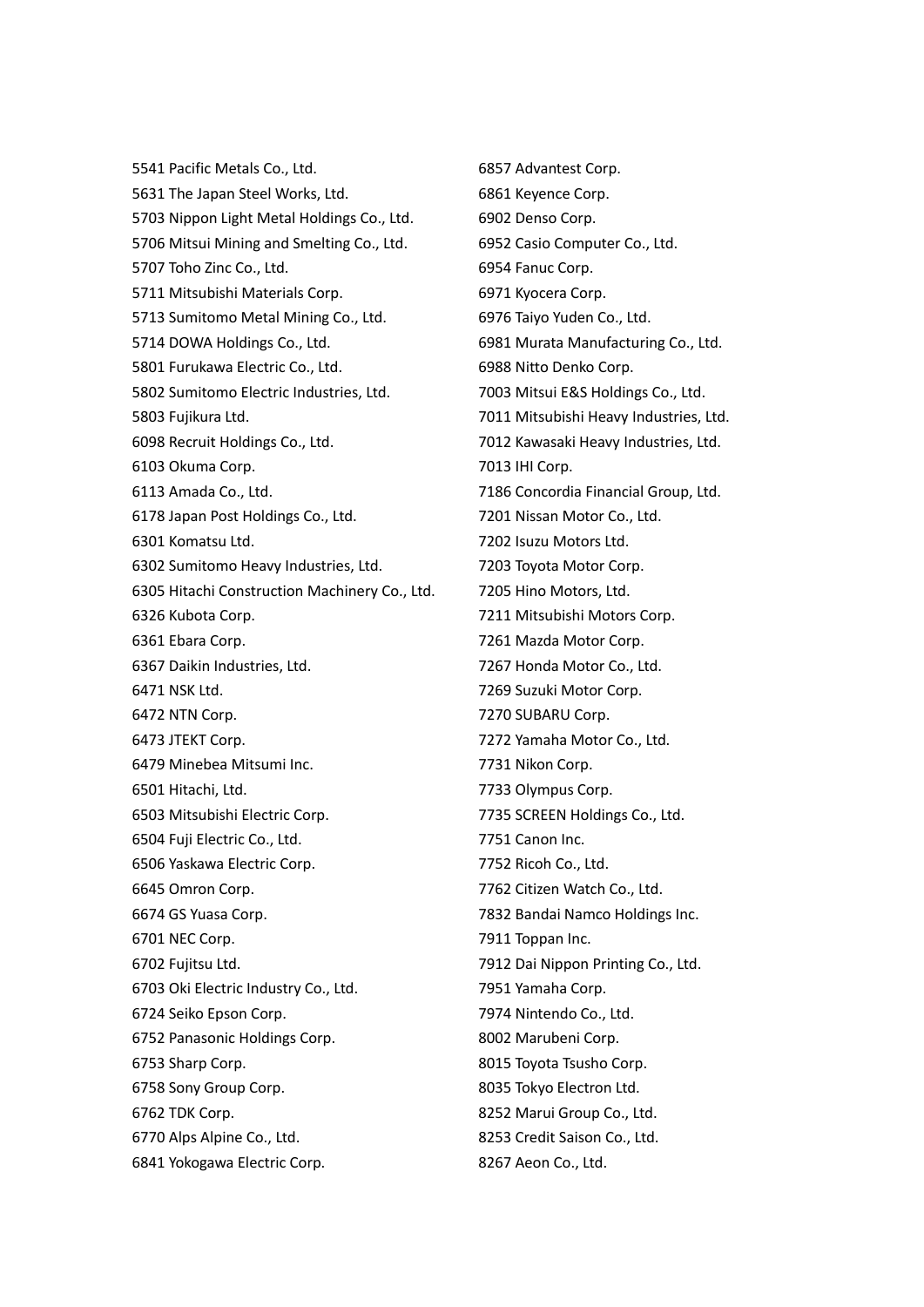5541 Pacific Metals Co., Ltd. 5631 The Japan Steel Works, Ltd. 5703 Nippon Light Metal Holdings Co., Ltd. 5706 Mitsui Mining and Smelting Co., Ltd. 5707 Toho Zinc Co., Ltd. 5711 Mitsubishi Materials Corp. 5713 Sumitomo Metal Mining Co., Ltd. 5714 DOWA Holdings Co., Ltd. 5801 Furukawa Electric Co., Ltd. 5802 Sumitomo Electric Industries, Ltd. 5803 Fujikura Ltd. 6098 Recruit Holdings Co., Ltd. 6103 Okuma Corp. 6113 Amada Co., Ltd. 6178 Japan Post Holdings Co., Ltd. 6301 Komatsu Ltd. 6302 Sumitomo Heavy Industries, Ltd. 6305 Hitachi Construction Machinery Co., Ltd. 6326 Kubota Corp. 6361 Ebara Corp. 6367 Daikin Industries, Ltd. 6471 NSK Ltd. 6472 NTN Corp. 6473 JTEKT Corp. 6479 Minebea Mitsumi Inc. 6501 Hitachi, Ltd. 6503 Mitsubishi Electric Corp. 6504 Fuji Electric Co., Ltd. 6506 Yaskawa Electric Corp. 6645 Omron Corp. 6674 GS Yuasa Corp. 6701 NEC Corp. 6702 Fujitsu Ltd. 6703 Oki Electric Industry Co., Ltd. 6724 Seiko Epson Corp. 6752 Panasonic Holdings Corp. 6753 Sharp Corp. 6758 Sony Group Corp. 6762 TDK Corp. 6770 Alps Alpine Co., Ltd. 6841 Yokogawa Electric Corp.

6857 Advantest Corp. 6861 Keyence Corp. 6902 Denso Corp. 6952 Casio Computer Co., Ltd. 6954 Fanuc Corp. 6971 Kyocera Corp. 6976 Taiyo Yuden Co., Ltd. 6981 Murata Manufacturing Co., Ltd. 6988 Nitto Denko Corp. 7003 Mitsui E&S Holdings Co., Ltd. 7011 Mitsubishi Heavy Industries, Ltd. 7012 Kawasaki Heavy Industries, Ltd. 7013 IHI Corp. 7186 Concordia Financial Group, Ltd. 7201 Nissan Motor Co., Ltd. 7202 Isuzu Motors Ltd. 7203 Toyota Motor Corp. 7205 Hino Motors, Ltd. 7211 Mitsubishi Motors Corp. 7261 Mazda Motor Corp. 7267 Honda Motor Co., Ltd. 7269 Suzuki Motor Corp. 7270 SUBARU Corp. 7272 Yamaha Motor Co., Ltd. 7731 Nikon Corp. 7733 Olympus Corp. 7735 SCREEN Holdings Co., Ltd. 7751 Canon Inc. 7752 Ricoh Co., Ltd. 7762 Citizen Watch Co., Ltd. 7832 Bandai Namco Holdings Inc. 7911 Toppan Inc. 7912 Dai Nippon Printing Co., Ltd. 7951 Yamaha Corp. 7974 Nintendo Co., Ltd. 8002 Marubeni Corp. 8015 Toyota Tsusho Corp. 8035 Tokyo Electron Ltd. 8252 Marui Group Co., Ltd. 8253 Credit Saison Co., Ltd. 8267 Aeon Co., Ltd.